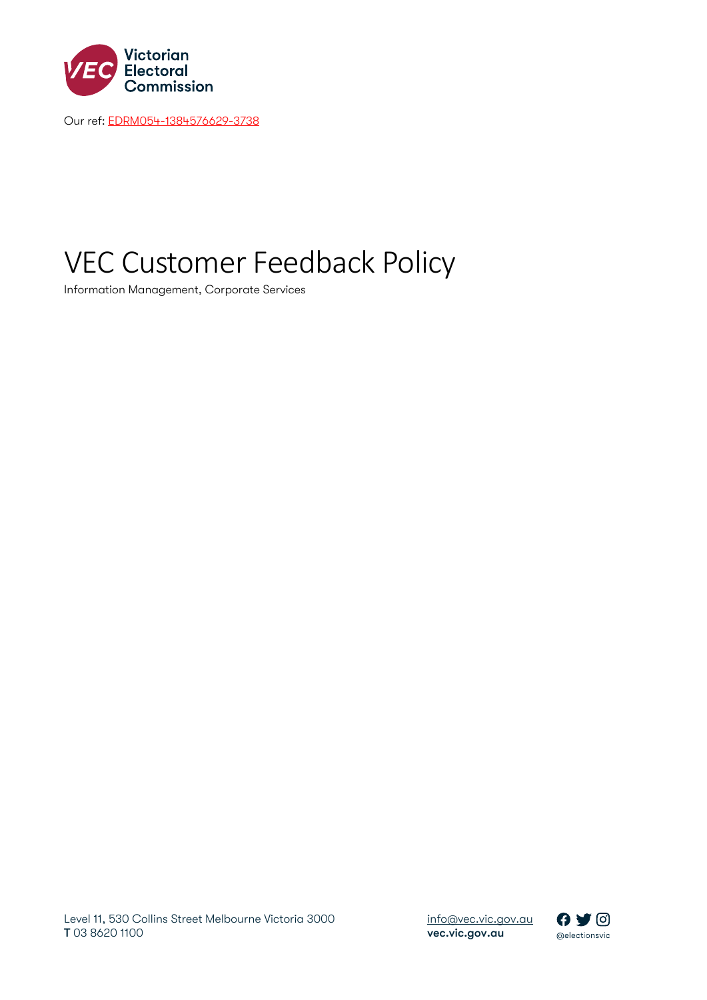

Our ref: [EDRM054-1384576629-3738](https://vec365.sharepoint.com/sites/EDRM-054/_layouts/15/DocIdRedir.aspx?ID=EDRM054-1384576629-3738)

# VEC Customer Feedback Policy

Information Management, Corporate Services

 [info@vec.vic.gov.au](mailto:info@vec.vic.gov.au) vec.vic.gov.au

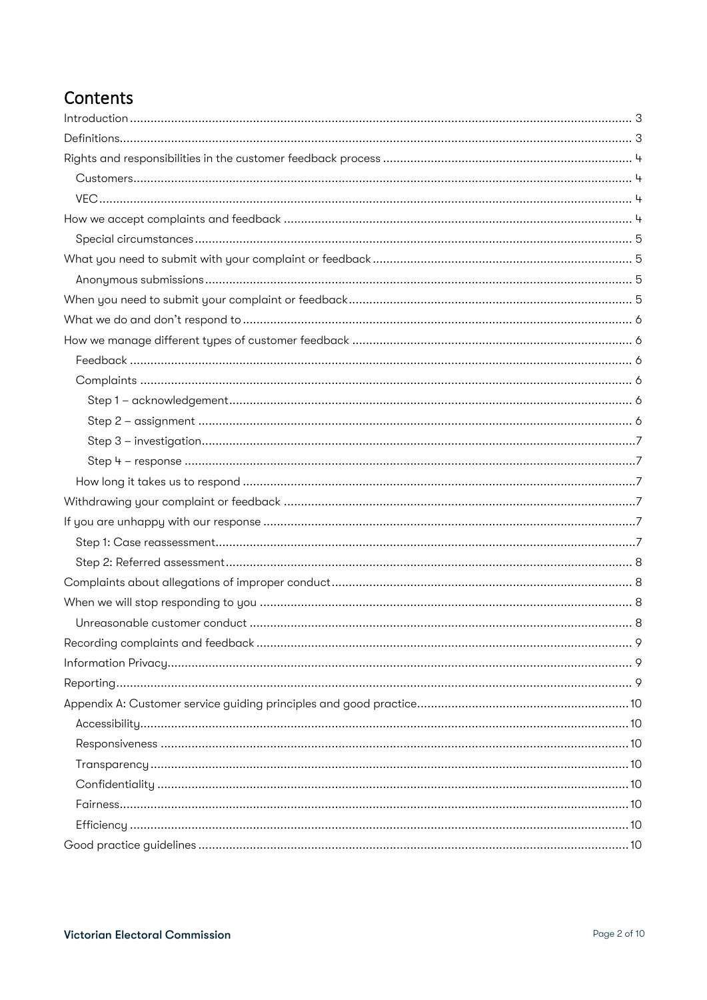### Contents

| 9 |
|---|
|   |
|   |
|   |
|   |
|   |
|   |
|   |
|   |
|   |
|   |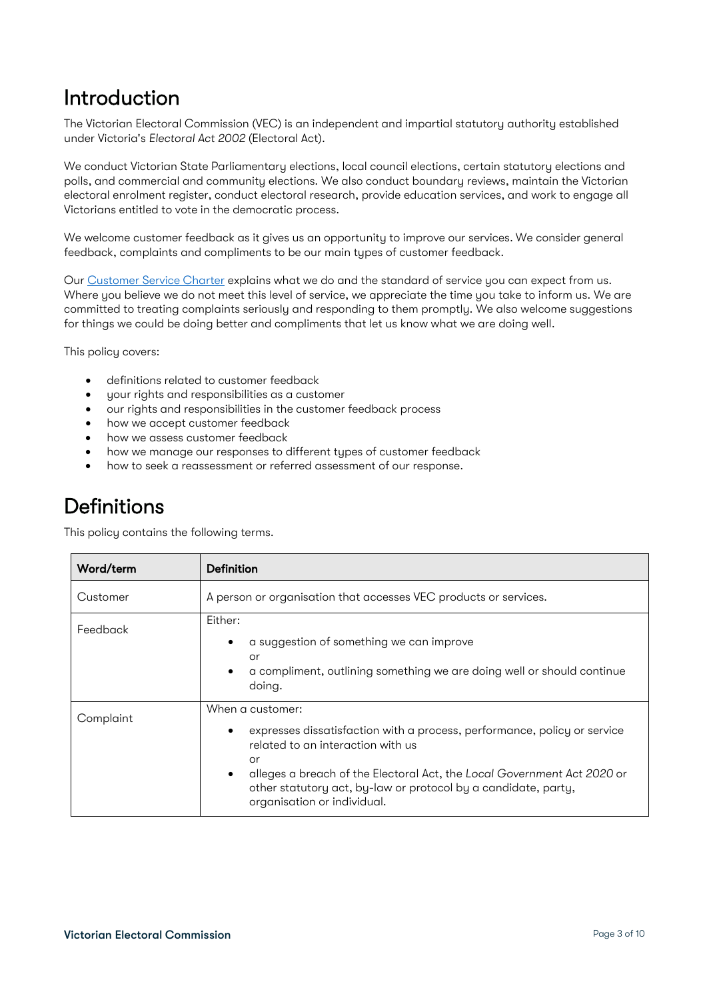## <span id="page-2-0"></span>Introduction

The Victorian Electoral Commission (VEC) is an independent and impartial statutory authority established under Victoria's *Electoral Act 2002* (Electoral Act).

We conduct Victorian State Parliamentary elections, local council elections, certain statutory elections and polls, and commercial and community elections. We also conduct boundary reviews, maintain the Victorian electoral enrolment register, conduct electoral research, provide education services, and work to engage all Victorians entitled to vote in the democratic process.

We welcome customer feedback as it gives us an opportunity to improve our services. We consider general feedback, complaints and compliments to be our main types of customer feedback.

Ou[r Customer Service Charter](https://www.vec.vic.gov.au/files/VECCustomerCharter2017.pdf) explains what we do and the standard of service you can expect from us. Where you believe we do not meet this level of service, we appreciate the time you take to inform us. We are committed to treating complaints seriously and responding to them promptly. We also welcome suggestions for things we could be doing better and compliments that let us know what we are doing well.

This policy covers:

- definitions related to customer feedback
- your rights and responsibilities as a customer
- our rights and responsibilities in the customer feedback process
- how we accept customer feedback
- how we assess customer feedback
- how we manage our responses to different types of customer feedback
- how to seek a reassessment or referred assessment of our response.

## <span id="page-2-1"></span>**Definitions**

This policy contains the following terms.

| Word/term | Definition                                                                                                                                                                                                                                                                                                                                    |
|-----------|-----------------------------------------------------------------------------------------------------------------------------------------------------------------------------------------------------------------------------------------------------------------------------------------------------------------------------------------------|
| Customer  | A person or organisation that accesses VEC products or services.                                                                                                                                                                                                                                                                              |
| Feedback  | Either:<br>a suggestion of something we can improve<br>or<br>a compliment, outlining something we are doing well or should continue<br>doing.                                                                                                                                                                                                 |
| Complaint | When a customer:<br>expresses dissatisfaction with a process, performance, policy or service<br>$\bullet$<br>related to an interaction with us<br>or<br>alleges a breach of the Electoral Act, the Local Government Act 2020 or<br>$\bullet$<br>other statutory act, by-law or protocol by a candidate, party,<br>organisation or individual. |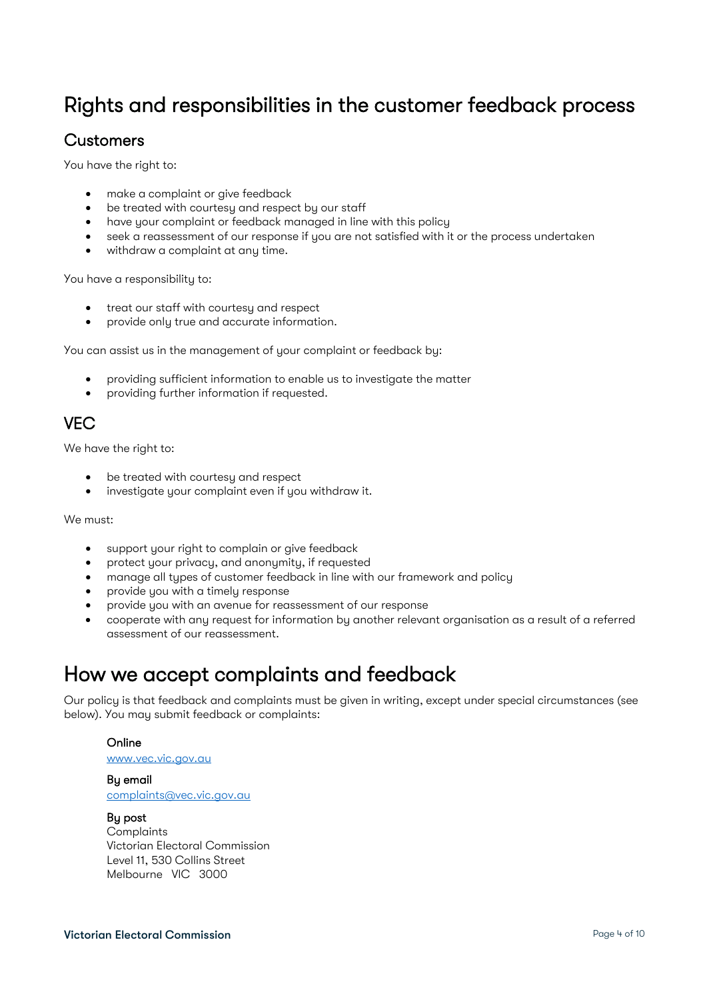## <span id="page-3-0"></span>Rights and responsibilities in the customer feedback process

### <span id="page-3-1"></span>**Customers**

You have the right to:

- make a complaint or give feedback
- be treated with courtesy and respect by our staff
- have your complaint or feedback managed in line with this policy
- seek a reassessment of our response if you are not satisfied with it or the process undertaken
- withdraw a complaint at any time.

You have a responsibility to:

- treat our staff with courtesy and respect
- provide only true and accurate information.

You can assist us in the management of your complaint or feedback by:

- providing sufficient information to enable us to investigate the matter
- providing further information if requested.

### <span id="page-3-2"></span>**VEC**

We have the right to:

- be treated with courtesy and respect
- investigate your complaint even if you withdraw it.

We must:

- support your right to complain or give feedback
- protect your privacy, and anonymity, if requested
- manage all types of customer feedback in line with our framework and policy
- provide you with a timely response
- provide you with an avenue for reassessment of our response
- cooperate with any request for information by another relevant organisation as a result of a referred assessment of our reassessment.

### <span id="page-3-3"></span>How we accept complaints and feedback

Our policy is that feedback and complaints must be given in writing, except under special circumstances (see below). You may submit feedback or complaints:

#### Online

[www.vec.vic.gov.au](http://www.vec.vic.gov.au/)

By email [complaints@vec.vic.gov.au](mailto:complaints@vec.vic.gov.au)

#### By post

**Complaints** Victorian Electoral Commission Level 11, 530 Collins Street Melbourne VIC 3000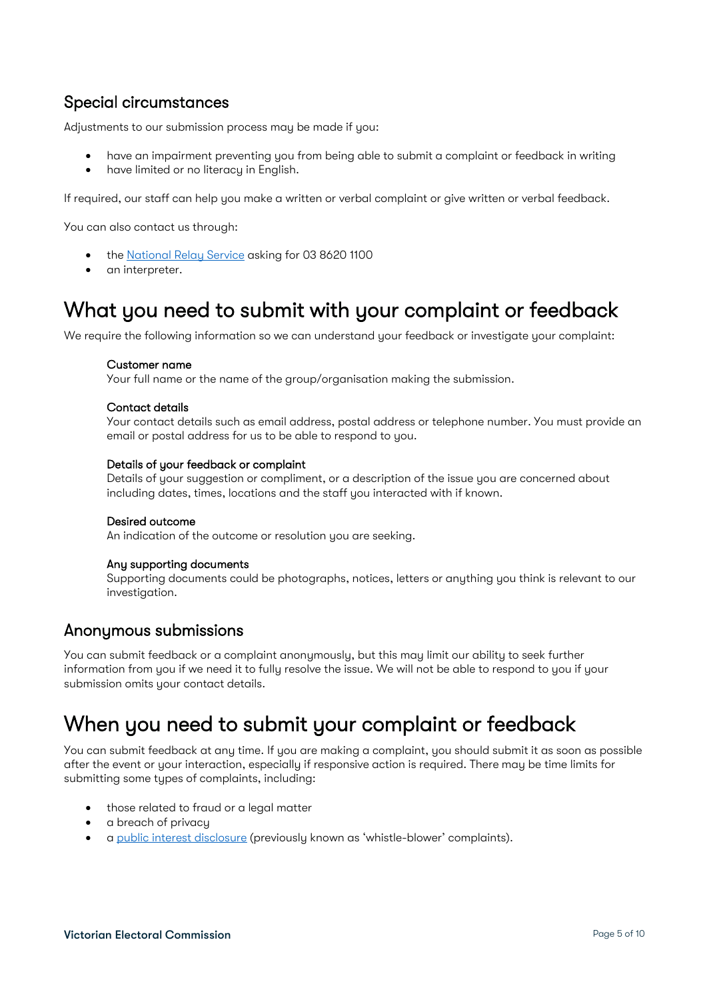### <span id="page-4-0"></span>Special circumstances

Adjustments to our submission process may be made if you:

- have an impairment preventing you from being able to submit a complaint or feedback in writing
- have limited or no literacy in English.

If required, our staff can help you make a written or verbal complaint or give written or verbal feedback.

You can also contact us through:

- the [National Relay Service](http://relayservice.gov.au/) asking for 03 8620 1100
- an interpreter.

### <span id="page-4-1"></span>What you need to submit with your complaint or feedback

We require the following information so we can understand your feedback or investigate your complaint:

#### Customer name

Your full name or the name of the group/organisation making the submission.

#### Contact details

Your contact details such as email address, postal address or telephone number. You must provide an email or postal address for us to be able to respond to you.

#### Details of your feedback or complaint

Details of your suggestion or compliment, or a description of the issue you are concerned about including dates, times, locations and the staff you interacted with if known.

#### Desired outcome

An indication of the outcome or resolution you are seeking.

#### Any supporting documents

Supporting documents could be photographs, notices, letters or anything you think is relevant to our investigation.

#### <span id="page-4-2"></span>Anonymous submissions

You can submit feedback or a complaint anonymously, but this may limit our ability to seek further information from you if we need it to fully resolve the issue. We will not be able to respond to you if your submission omits your contact details.

## <span id="page-4-3"></span>When you need to submit your complaint or feedback

You can submit feedback at any time. If you are making a complaint, you should submit it as soon as possible after the event or your interaction, especially if responsive action is required. There may be time limits for submitting some types of complaints, including:

- those related to fraud or a legal matter
- a breach of privacy
- a [public interest](https://www.ibac.vic.gov.au/reporting-corruption/what-is-a-protected-disclosure) disclosure (previously known as 'whistle-blower' complaints).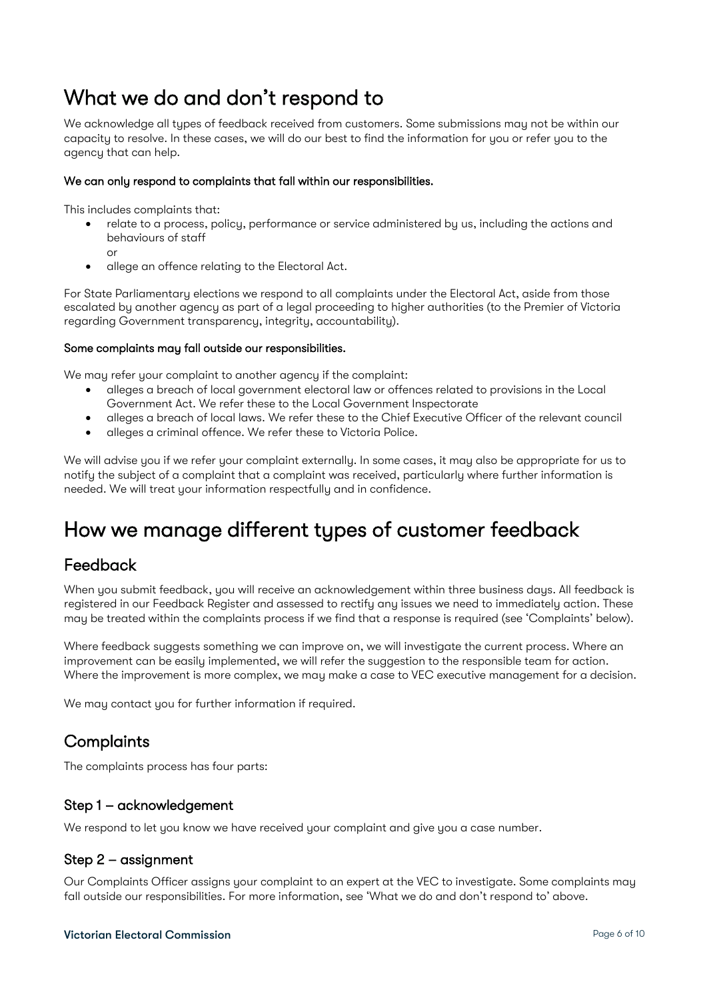## <span id="page-5-0"></span>What we do and don't respond to

We acknowledge all types of feedback received from customers. Some submissions may not be within our capacity to resolve. In these cases, we will do our best to find the information for you or refer you to the agency that can help.

#### We can only respond to complaints that fall within our responsibilities.

This includes complaints that:

- relate to a process, policy, performance or service administered by us, including the actions and behaviours of staff
	- or • allege an offence relating to the Electoral Act.

For State Parliamentary elections we respond to all complaints under the Electoral Act, aside from those escalated by another agency as part of a legal proceeding to higher authorities (to the Premier of Victoria regarding Government transparency, integrity, accountability).

#### Some complaints may fall outside our responsibilities.

We may refer your complaint to another agency if the complaint:

- alleges a breach of local government electoral law or offences related to provisions in the Local Government Act. We refer these to the Local Government Inspectorate
- alleges a breach of local laws. We refer these to the Chief Executive Officer of the relevant council
- alleges a criminal offence. We refer these to Victoria Police.

We will advise you if we refer your complaint externally. In some cases, it may also be appropriate for us to notify the subject of a complaint that a complaint was received, particularly where further information is needed. We will treat your information respectfully and in confidence.

## <span id="page-5-1"></span>How we manage different types of customer feedback

### <span id="page-5-2"></span>Feedback

When you submit feedback, you will receive an acknowledgement within three business days. All feedback is registered in our Feedback Register and assessed to rectify any issues we need to immediately action. These may be treated within the complaints process if we find that a response is required (see 'Complaints' below).

Where feedback suggests something we can improve on, we will investigate the current process. Where an improvement can be easily implemented, we will refer the suggestion to the responsible team for action. Where the improvement is more complex, we may make a case to VEC executive management for a decision.

We may contact you for further information if required.

### <span id="page-5-3"></span>**Complaints**

The complaints process has four parts:

#### <span id="page-5-4"></span>Step 1 – acknowledgement

We respond to let you know we have received your complaint and give you a case number.

#### <span id="page-5-5"></span>Step 2 – assignment

Our Complaints Officer assigns your complaint to an expert at the VEC to investigate. Some complaints may fall outside our responsibilities. For more information, see 'What we do and don't respond to' above.

#### **Victorian Electoral Commission Page 6 of 10**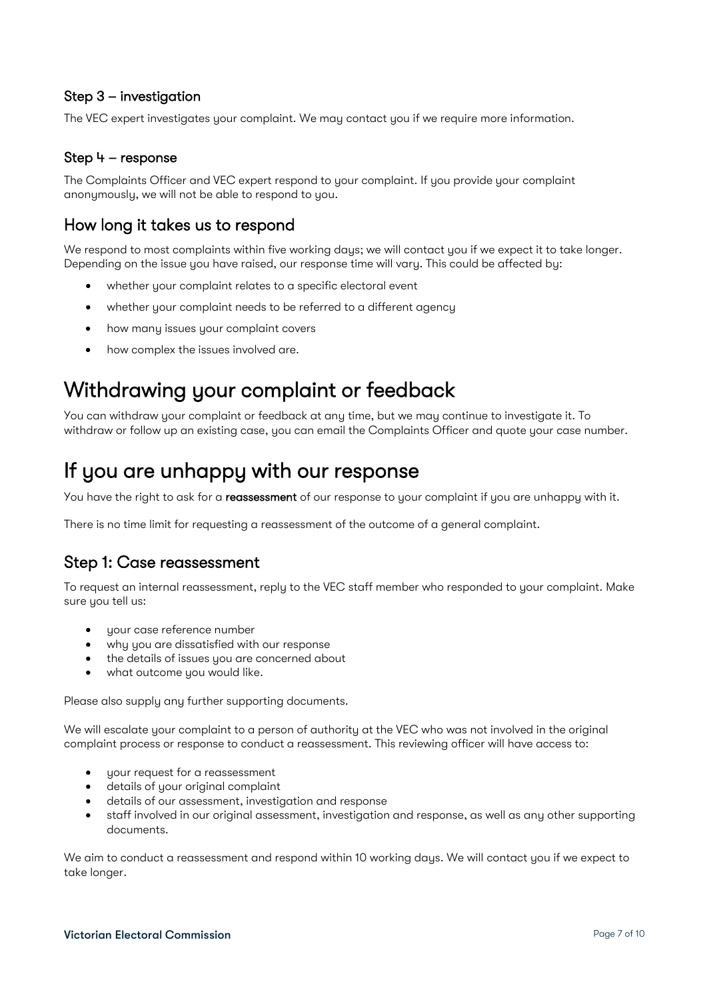#### <span id="page-6-0"></span>Step 3 – investigation

The VEC expert investigates your complaint. We may contact you if we require more information.

#### <span id="page-6-1"></span>Step 4 – response

The Complaints Officer and VEC expert respond to your complaint. If you provide your complaint anonymously, we will not be able to respond to you.

### <span id="page-6-2"></span>How long it takes us to respond

We respond to most complaints within five working days; we will contact you if we expect it to take longer. Depending on the issue you have raised, our response time will vary. This could be affected by:

- whether your complaint relates to a specific electoral event
- whether your complaint needs to be referred to a different agency
- how many issues your complaint covers
- how complex the issues involved are.

## <span id="page-6-3"></span>Withdrawing your complaint or feedback

You can withdraw your complaint or feedback at any time, but we may continue to investigate it. To withdraw or follow up an existing case, you can email the Complaints Officer and quote your case number.

## <span id="page-6-4"></span>If you are unhappy with our response

You have the right to ask for a reassessment of our response to your complaint if you are unhappy with it.

There is no time limit for requesting a reassessment of the outcome of a general complaint.

### <span id="page-6-5"></span>Step 1: Case reassessment

To request an internal reassessment, reply to the VEC staff member who responded to your complaint. Make sure you tell us:

- your case reference number
- why you are dissatisfied with our response
- the details of issues you are concerned about
- what outcome you would like.

Please also supply any further supporting documents.

We will escalate your complaint to a person of authority at the VEC who was not involved in the original complaint process or response to conduct a reassessment. This reviewing officer will have access to:

- your request for a reassessment
- details of your original complaint
- details of our assessment, investigation and response
- staff involved in our original assessment, investigation and response, as well as any other supporting documents.

We aim to conduct a reassessment and respond within 10 working days. We will contact you if we expect to take longer.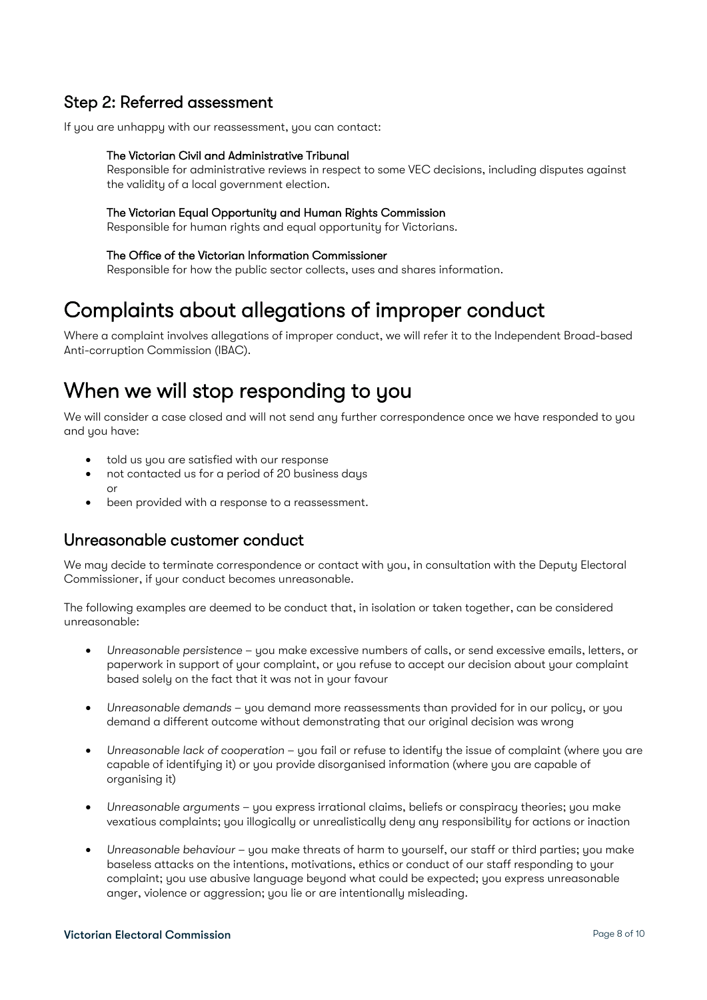### <span id="page-7-0"></span>Step 2: Referred assessment

If you are unhappy with our reassessment, you can contact:

#### The Victorian Civil and Administrative Tribunal

Responsible for administrative reviews in respect to some VEC decisions, including disputes against the validity of a local government election.

#### The Victorian Equal Opportunity and Human Rights Commission

Responsible for human rights and equal opportunity for Victorians.

#### The Office of the Victorian Information Commissioner

Responsible for how the public sector collects, uses and shares information.

## <span id="page-7-1"></span>Complaints about allegations of improper conduct

Where a complaint involves allegations of improper conduct, we will refer it to the Independent Broad-based Anti-corruption Commission (IBAC).

## <span id="page-7-2"></span>When we will stop responding to you

We will consider a case closed and will not send any further correspondence once we have responded to you and you have:

- told us you are satisfied with our response
- not contacted us for a period of 20 business days or
- been provided with a response to a reassessment.

### <span id="page-7-3"></span>Unreasonable customer conduct

We may decide to terminate correspondence or contact with you, in consultation with the Deputy Electoral Commissioner, if your conduct becomes unreasonable.

The following examples are deemed to be conduct that, in isolation or taken together, can be considered unreasonable:

- *Unreasonable persistence* you make excessive numbers of calls, or send excessive emails, letters, or paperwork in support of your complaint, or you refuse to accept our decision about your complaint based solely on the fact that it was not in your favour
- *Unreasonable demands*  you demand more reassessments than provided for in our policy, or you demand a different outcome without demonstrating that our original decision was wrong
- *Unreasonable lack of cooperation* you fail or refuse to identify the issue of complaint (where you are capable of identifying it) or you provide disorganised information (where you are capable of organising it)
- *Unreasonable arguments* you express irrational claims, beliefs or conspiracy theories; you make vexatious complaints; you illogically or unrealistically deny any responsibility for actions or inaction
- *Unreasonable behaviour* you make threats of harm to yourself, our staff or third parties; you make baseless attacks on the intentions, motivations, ethics or conduct of our staff responding to your complaint; you use abusive language beyond what could be expected; you express unreasonable anger, violence or aggression; you lie or are intentionally misleading.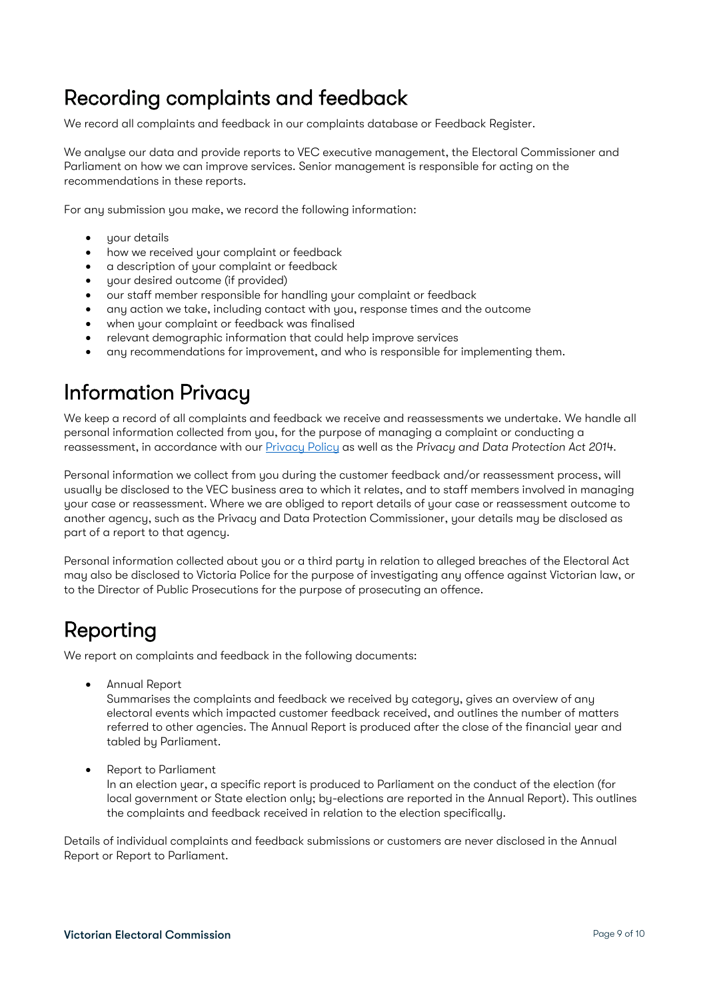## <span id="page-8-0"></span>Recording complaints and feedback

We record all complaints and feedback in our complaints database or Feedback Register.

We analyse our data and provide reports to VEC executive management, the Electoral Commissioner and Parliament on how we can improve services. Senior management is responsible for acting on the recommendations in these reports.

For any submission you make, we record the following information:

- your details
- how we received your complaint or feedback
- a description of your complaint or feedback
- your desired outcome (if provided)
- our staff member responsible for handling your complaint or feedback
- any action we take, including contact with you, response times and the outcome
- when your complaint or feedback was finalised
- relevant demographic information that could help improve services
- any recommendations for improvement, and who is responsible for implementing them.

## <span id="page-8-1"></span>Information Privacy

We keep a record of all complaints and feedback we receive and reassessments we undertake. We handle all personal information collected from you, for the purpose of managing a complaint or conducting a reassessment, in accordance with our [Privacy Policy](https://www.vec.vic.gov.au/files/PrivacyPolicy.doc) as well as the *Privacy and Data Protection Act 2014*.

Personal information we collect from you during the customer feedback and/or reassessment process, will usually be disclosed to the VEC business area to which it relates, and to staff members involved in managing your case or reassessment. Where we are obliged to report details of your case or reassessment outcome to another agency, such as the Privacy and Data Protection Commissioner, your details may be disclosed as part of a report to that agency.

Personal information collected about you or a third party in relation to alleged breaches of the Electoral Act may also be disclosed to Victoria Police for the purpose of investigating any offence against Victorian law, or to the Director of Public Prosecutions for the purpose of prosecuting an offence.

## <span id="page-8-2"></span>Reporting

We report on complaints and feedback in the following documents:

• Annual Report

Summarises the complaints and feedback we received by category, gives an overview of any electoral events which impacted customer feedback received, and outlines the number of matters referred to other agencies. The Annual Report is produced after the close of the financial year and tabled by Parliament.

• Report to Parliament

In an election year, a specific report is produced to Parliament on the conduct of the election (for local government or State election only; by-elections are reported in the Annual Report). This outlines the complaints and feedback received in relation to the election specifically.

Details of individual complaints and feedback submissions or customers are never disclosed in the Annual Report or Report to Parliament.